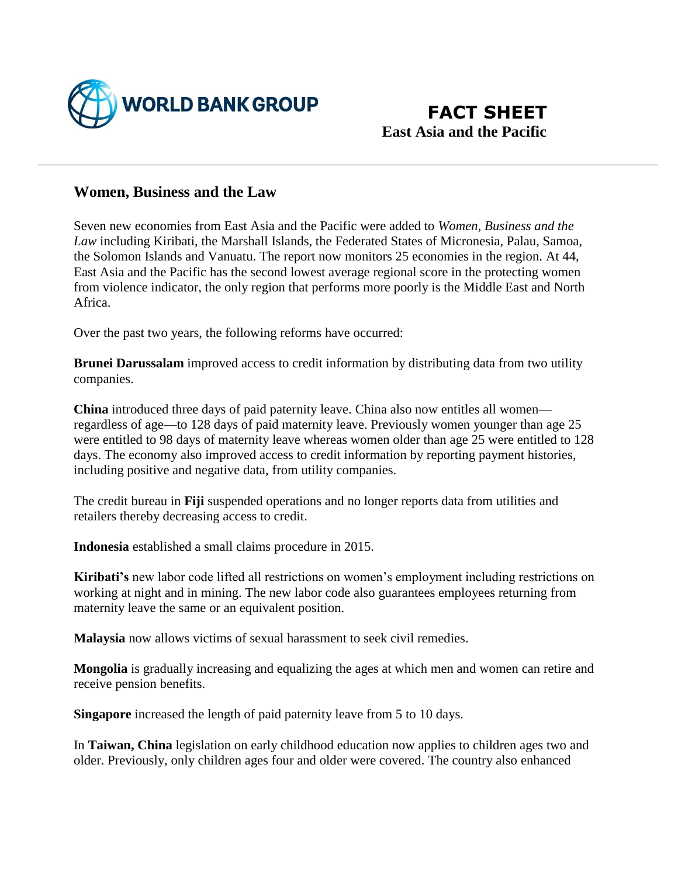

## **Women, Business and the Law**

Seven new economies from East Asia and the Pacific were added to *Women, Business and the Law* including Kiribati, the Marshall Islands, the Federated States of Micronesia, Palau, Samoa, the Solomon Islands and Vanuatu. The report now monitors 25 economies in the region. At 44, East Asia and the Pacific has the second lowest average regional score in the protecting women from violence indicator, the only region that performs more poorly is the Middle East and North Africa.

Over the past two years, the following reforms have occurred:

**Brunei Darussalam** improved access to credit information by distributing data from two utility companies.

**China** introduced three days of paid paternity leave. China also now entitles all women regardless of age—to 128 days of paid maternity leave. Previously women younger than age 25 were entitled to 98 days of maternity leave whereas women older than age 25 were entitled to 128 days. The economy also improved access to credit information by reporting payment histories, including positive and negative data, from utility companies.

The credit bureau in **Fiji** suspended operations and no longer reports data from utilities and retailers thereby decreasing access to credit.

**Indonesia** established a small claims procedure in 2015.

**Kiribati's** new labor code lifted all restrictions on women's employment including restrictions on working at night and in mining. The new labor code also guarantees employees returning from maternity leave the same or an equivalent position.

**Malaysia** now allows victims of sexual harassment to seek civil remedies.

**Mongolia** is gradually increasing and equalizing the ages at which men and women can retire and receive pension benefits.

**Singapore** increased the length of paid paternity leave from 5 to 10 days.

In **Taiwan, China** legislation on early childhood education now applies to children ages two and older. Previously, only children ages four and older were covered. The country also enhanced